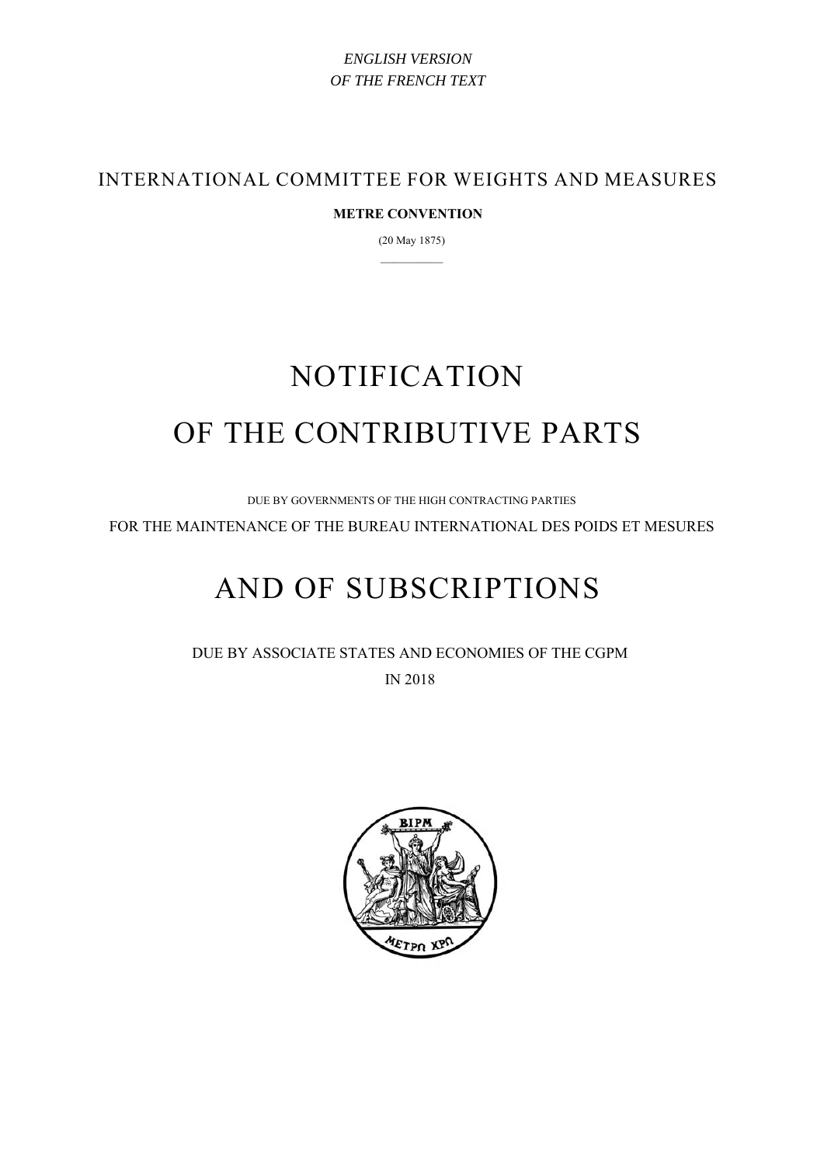## *ENGLISH VERSION OF THE FRENCH TEXT*

INTERNATIONAL COMMITTEE FOR WEIGHTS AND MEASURES

### **METRE CONVENTION**

(20 May 1875) —————

# NOTIFICATION OF THE CONTRIBUTIVE PARTS

DUE BY GOVERNMENTS OF THE HIGH CONTRACTING PARTIES

FOR THE MAINTENANCE OF THE BUREAU INTERNATIONAL DES POIDS ET MESURES

# AND OF SUBSCRIPTIONS

DUE BY ASSOCIATE STATES AND ECONOMIES OF THE CGPM IN 2018

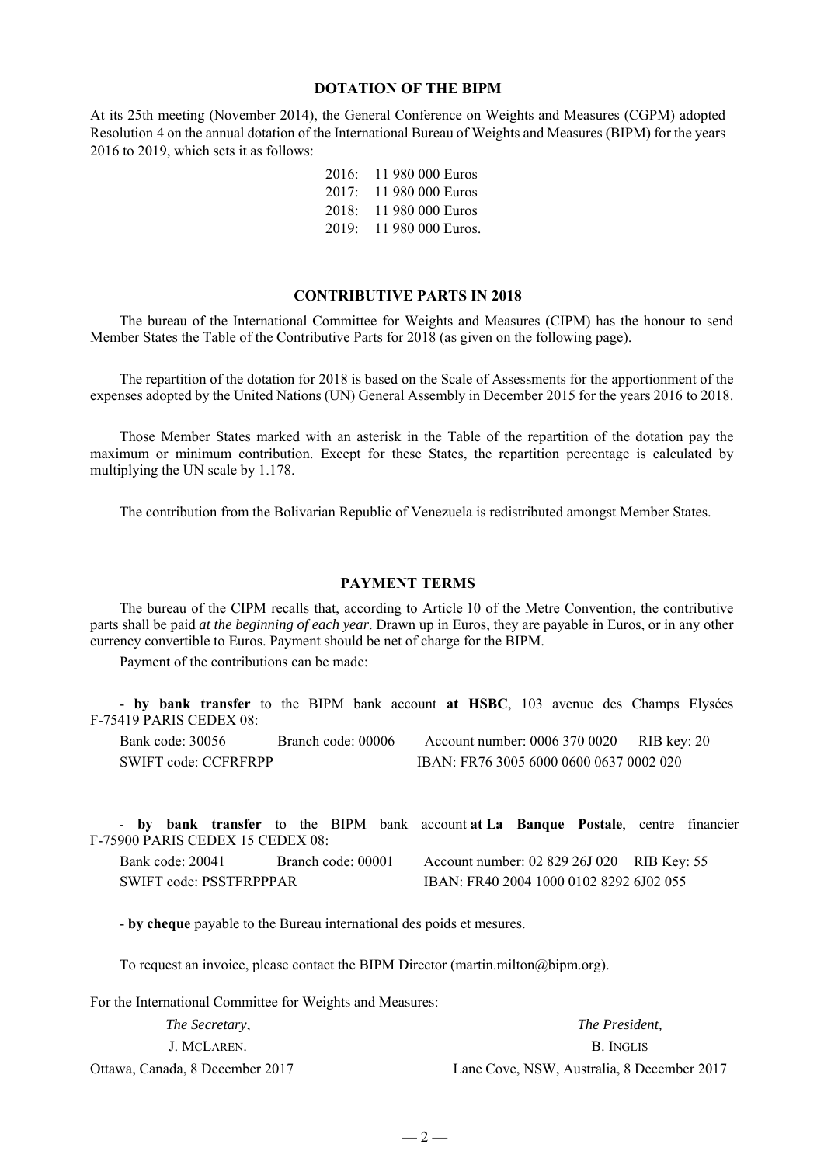#### **DOTATION OF THE BIPM**

At its 25th meeting (November 2014), the General Conference on Weights and Measures (CGPM) adopted Resolution 4 on the annual dotation of the International Bureau of Weights and Measures (BIPM) for the years 2016 to 2019, which sets it as follows:

| 2016: | 11 980 000 Euros  |
|-------|-------------------|
| 2017: | 11 980 000 Euros  |
| 2018: | 11 980 000 Euros  |
| 2019: | 11 980 000 Euros. |

#### **CONTRIBUTIVE PARTS IN 2018**

The bureau of the International Committee for Weights and Measures (CIPM) has the honour to send Member States the Table of the Contributive Parts for 2018 (as given on the following page).

The repartition of the dotation for 2018 is based on the Scale of Assessments for the apportionment of the expenses adopted by the United Nations (UN) General Assembly in December 2015 for the years 2016 to 2018.

Those Member States marked with an asterisk in the Table of the repartition of the dotation pay the maximum or minimum contribution. Except for these States, the repartition percentage is calculated by multiplying the UN scale by 1.178.

The contribution from the Bolivarian Republic of Venezuela is redistributed amongst Member States.

#### **PAYMENT TERMS**

The bureau of the CIPM recalls that, according to Article 10 of the Metre Convention, the contributive parts shall be paid *at the beginning of each year*. Drawn up in Euros, they are payable in Euros, or in any other currency convertible to Euros. Payment should be net of charge for the BIPM.

Payment of the contributions can be made:

- **by bank transfer** to the BIPM bank account **at HSBC**, 103 avenue des Champs Elysées F-75419 PARIS CEDEX 08:

| Bank code: 30056     | Branch code: 00006 | Account number: 0006 370 0020           | RIB key: 20 |
|----------------------|--------------------|-----------------------------------------|-------------|
| SWIFT code: CCFRFRPP |                    | IBAN: FR76 3005 6000 0600 0637 0002 020 |             |

|                         |                                  |  |  |                                         |  | - by bank transfer to the BIPM bank account at La Banque Postale, centre financier |  |  |
|-------------------------|----------------------------------|--|--|-----------------------------------------|--|------------------------------------------------------------------------------------|--|--|
|                         | F-75900 PARIS CEDEX 15 CEDEX 08: |  |  |                                         |  |                                                                                    |  |  |
|                         | Bank code: 20041                 |  |  | Branch code: 00001                      |  | Account number: 02 829 26J 020 RIB Key: 55                                         |  |  |
| SWIFT code: PSSTFRPPPAR |                                  |  |  | IBAN: FR40 2004 1000 0102 8292 6J02 055 |  |                                                                                    |  |  |

- **by cheque** payable to the Bureau international des poids et mesures.

To request an invoice, please contact the BIPM Director (martin.milton@bipm.org).

For the International Committee for Weights and Measures:

| <i>The Secretary,</i>           | <i>The President.</i>                      |
|---------------------------------|--------------------------------------------|
| J. MCLAREN.                     | B. Inglis                                  |
| Ottawa, Canada, 8 December 2017 | Lane Cove, NSW, Australia, 8 December 2017 |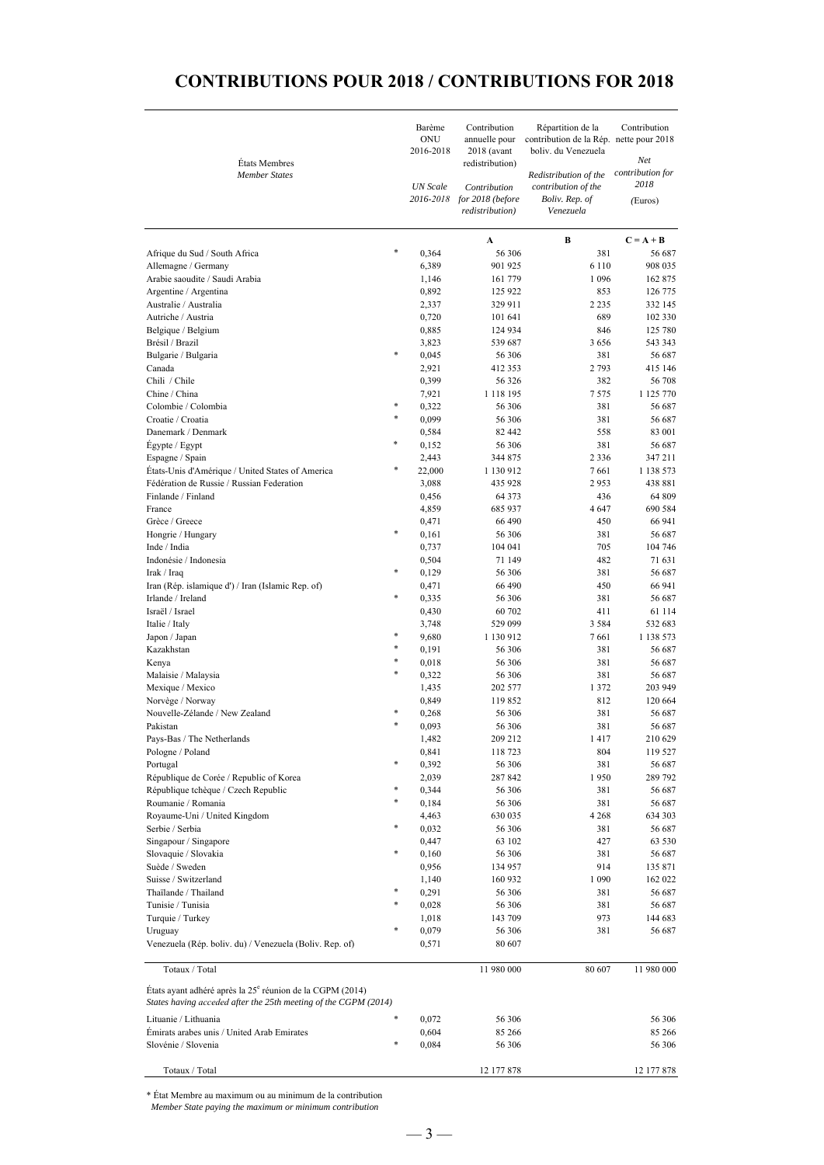# **CONTRIBUTIONS POUR 2018 / CONTRIBUTIONS FOR 2018**

| États Membres<br><b>Member States</b>                                                                                                    |        | Barème<br>ONU<br>2016-2018<br><b>UN</b> Scale | Contribution<br>annuelle pour<br>$2018$ (avant<br>redistribution)<br>Contribution<br>2016-2018 for 2018 (before<br>redistribution) | Répartition de la<br>contribution de la Rép. nette pour 2018<br>boliv. du Venezuela<br>Redistribution of the<br>contribution of the<br>Boliv. Rep. of<br>Venezuela | Contribution<br>Net<br>contribution for<br>2018<br>(Euros) |  |
|------------------------------------------------------------------------------------------------------------------------------------------|--------|-----------------------------------------------|------------------------------------------------------------------------------------------------------------------------------------|--------------------------------------------------------------------------------------------------------------------------------------------------------------------|------------------------------------------------------------|--|
|                                                                                                                                          |        |                                               |                                                                                                                                    | В                                                                                                                                                                  | $C = A + B$                                                |  |
| Afrique du Sud / South Africa                                                                                                            | $\ast$ | 0,364                                         | A<br>56 306                                                                                                                        | 381                                                                                                                                                                | 56 687                                                     |  |
| Allemagne / Germany                                                                                                                      |        | 6,389                                         | 901 925                                                                                                                            | 6 1 1 0                                                                                                                                                            | 908 035                                                    |  |
| Arabie saoudite / Saudi Arabia                                                                                                           |        | 1,146                                         | 161 779                                                                                                                            | 1 0 9 6                                                                                                                                                            | 162 875                                                    |  |
| Argentine / Argentina                                                                                                                    |        | 0,892                                         | 125 922                                                                                                                            | 853                                                                                                                                                                | 126 775                                                    |  |
| Australie / Australia                                                                                                                    |        | 2,337                                         | 329 911                                                                                                                            | 2 2 3 5                                                                                                                                                            | 332 145                                                    |  |
| Autriche / Austria                                                                                                                       |        | 0,720                                         | 101 641                                                                                                                            | 689                                                                                                                                                                | 102 330                                                    |  |
| Belgique / Belgium<br>Brésil / Brazil                                                                                                    |        | 0,885<br>3,823                                | 124 934<br>539 687                                                                                                                 | 846<br>3656                                                                                                                                                        | 125 780<br>543 343                                         |  |
| Bulgarie / Bulgaria                                                                                                                      | *      | 0,045                                         | 56 306                                                                                                                             | 381                                                                                                                                                                | 56 687                                                     |  |
| Canada                                                                                                                                   |        | 2,921                                         | 412 353                                                                                                                            | 2793                                                                                                                                                               | 415 146                                                    |  |
| Chili / Chile                                                                                                                            |        | 0,399                                         | 56 326                                                                                                                             | 382                                                                                                                                                                | 56 708                                                     |  |
| Chine / China                                                                                                                            |        | 7,921                                         | 1 1 1 8 1 9 5                                                                                                                      | 7575                                                                                                                                                               | 1 125 770                                                  |  |
| Colombie / Colombia                                                                                                                      | *      | 0,322                                         | 56 306                                                                                                                             | 381                                                                                                                                                                | 56 687                                                     |  |
| Croatie / Croatia                                                                                                                        | $\ast$ | 0,099                                         | 56 306                                                                                                                             | 381                                                                                                                                                                | 56 687                                                     |  |
| Danemark / Denmark                                                                                                                       |        | 0,584                                         | 82 442                                                                                                                             | 558                                                                                                                                                                | 83 001                                                     |  |
| Egypte / Egypt                                                                                                                           | *      | 0,152                                         | 56 306                                                                                                                             | 381                                                                                                                                                                | 56 687                                                     |  |
| Espagne / Spain                                                                                                                          | $\ast$ | 2,443                                         | 344 875                                                                                                                            | 2 3 3 6                                                                                                                                                            | 347 211                                                    |  |
| États-Unis d'Amérique / United States of America<br>Fédération de Russie / Russian Federation                                            |        | 22,000<br>3,088                               | 1 130 912<br>435 928                                                                                                               | 7661<br>2953                                                                                                                                                       | 1 138 573<br>438 881                                       |  |
| Finlande / Finland                                                                                                                       |        | 0,456                                         | 64 3 7 3                                                                                                                           | 436                                                                                                                                                                | 64 809                                                     |  |
| France                                                                                                                                   |        | 4,859                                         | 685 937                                                                                                                            | 4647                                                                                                                                                               | 690 584                                                    |  |
| Grèce / Greece                                                                                                                           |        | 0,471                                         | 66 490                                                                                                                             | 450                                                                                                                                                                | 66 941                                                     |  |
| Hongrie / Hungary                                                                                                                        | *      | 0,161                                         | 56 306                                                                                                                             | 381                                                                                                                                                                | 56 687                                                     |  |
| Inde / India                                                                                                                             |        | 0,737                                         | 104 041                                                                                                                            | 705                                                                                                                                                                | 104 746                                                    |  |
| Indonésie / Indonesia                                                                                                                    |        | 0,504                                         | 71 149                                                                                                                             | 482                                                                                                                                                                | 71 631                                                     |  |
| Irak / Iraq                                                                                                                              | *      | 0,129                                         | 56 306                                                                                                                             | 381                                                                                                                                                                | 56 687                                                     |  |
| Iran (Rép. islamique d') / Iran (Islamic Rep. of)                                                                                        | $\ast$ | 0,471                                         | 66 490                                                                                                                             | 450                                                                                                                                                                | 66 941                                                     |  |
| Irlande / Ireland                                                                                                                        |        | 0,335                                         | 56 306                                                                                                                             | 381                                                                                                                                                                | 56 687                                                     |  |
| Israël / Israel<br>Italie / Italy                                                                                                        |        | 0,430<br>3,748                                | 60 702<br>529 099                                                                                                                  | 411<br>3 5 8 4                                                                                                                                                     | 61 114<br>532 683                                          |  |
| Japon / Japan                                                                                                                            | *      | 9,680                                         | 1 130 912                                                                                                                          | 7661                                                                                                                                                               | 1 138 573                                                  |  |
| Kazakhstan                                                                                                                               | *      | 0,191                                         | 56 306                                                                                                                             | 381                                                                                                                                                                | 56 687                                                     |  |
| Kenya                                                                                                                                    | *      | 0,018                                         | 56 306                                                                                                                             | 381                                                                                                                                                                | 56 687                                                     |  |
| Malaisie / Malaysia                                                                                                                      | $\ast$ | 0,322                                         | 56 306                                                                                                                             | 381                                                                                                                                                                | 56 687                                                     |  |
| Mexique / Mexico                                                                                                                         |        | 1,435                                         | 202 577                                                                                                                            | 1 3 7 2                                                                                                                                                            | 203 949                                                    |  |
| Norvège / Norway                                                                                                                         |        | 0,849                                         | 119 852                                                                                                                            | 812                                                                                                                                                                | 120 664                                                    |  |
| Nouvelle-Zélande / New Zealand                                                                                                           |        | 0,268                                         | 56 306                                                                                                                             | 381                                                                                                                                                                | 56 687                                                     |  |
| Pakistan                                                                                                                                 | $\ast$ | 0,093                                         | 56 306                                                                                                                             | 381                                                                                                                                                                | 56 687                                                     |  |
| Pays-Bas / The Netherlands                                                                                                               |        | 1,482                                         | 209 212                                                                                                                            | 1417                                                                                                                                                               | 210 629                                                    |  |
| Pologne / Poland<br>Portugal                                                                                                             |        | 0,841<br>0,392                                | 118 723<br>56 306                                                                                                                  | 804<br>381                                                                                                                                                         | 119 527<br>56 687                                          |  |
| République de Corée / Republic of Korea                                                                                                  |        | 2,039                                         | 287 842                                                                                                                            | 1950                                                                                                                                                               | 289 792                                                    |  |
| République tchèque / Czech Republic                                                                                                      |        | 0,344                                         | 56 306                                                                                                                             | 381                                                                                                                                                                | 56 687                                                     |  |
| Roumanie / Romania                                                                                                                       | *      | 0,184                                         | 56 306                                                                                                                             | 381                                                                                                                                                                | 56 687                                                     |  |
| Royaume-Uni / United Kingdom                                                                                                             |        | 4,463                                         | 630 035                                                                                                                            | 4 2 6 8                                                                                                                                                            | 634 303                                                    |  |
| Serbie / Serbia                                                                                                                          | *      | 0,032                                         | 56 306                                                                                                                             | 381                                                                                                                                                                | 56 687                                                     |  |
| Singapour / Singapore                                                                                                                    |        | 0,447                                         | 63 102                                                                                                                             | 427                                                                                                                                                                | 63 530                                                     |  |
| Slovaquie / Slovakia                                                                                                                     | *      | 0,160                                         | 56 306                                                                                                                             | 381                                                                                                                                                                | 56 687                                                     |  |
| Suède / Sweden                                                                                                                           |        | 0,956                                         | 134 957                                                                                                                            | 914                                                                                                                                                                | 135 871                                                    |  |
| Suisse / Switzerland                                                                                                                     | *      | 1,140                                         | 160 932<br>56 306                                                                                                                  | 1 0 9 0                                                                                                                                                            | 162 022                                                    |  |
| Thaïlande / Thailand<br>Tunisie / Tunisia                                                                                                |        | 0,291<br>0,028                                | 56 306                                                                                                                             | 381<br>381                                                                                                                                                         | 56 687<br>56 687                                           |  |
| Turquie / Turkey                                                                                                                         |        | 1,018                                         | 143 709                                                                                                                            | 973                                                                                                                                                                | 144 683                                                    |  |
| Uruguay                                                                                                                                  |        | 0,079                                         | 56 306                                                                                                                             | 381                                                                                                                                                                | 56 687                                                     |  |
| Venezuela (Rép. boliv. du) / Venezuela (Boliv. Rep. of)                                                                                  |        | 0,571                                         | 80 607                                                                                                                             |                                                                                                                                                                    |                                                            |  |
| Totaux / Total                                                                                                                           |        |                                               | 11 980 000                                                                                                                         | 80 607                                                                                                                                                             | 11 980 000                                                 |  |
| États ayant adhéré après la 25 <sup>e</sup> réunion de la CGPM (2014)<br>States having acceded after the 25th meeting of the CGPM (2014) |        |                                               |                                                                                                                                    |                                                                                                                                                                    |                                                            |  |
| Lituanie / Lithuania                                                                                                                     | *      | 0,072                                         | 56 306                                                                                                                             |                                                                                                                                                                    | 56 306                                                     |  |
| Emirats arabes unis / United Arab Emirates                                                                                               |        | 0,604                                         | 85 266                                                                                                                             |                                                                                                                                                                    | 85 266                                                     |  |
| Slovénie / Slovenia                                                                                                                      | *      | 0,084                                         | 56 306                                                                                                                             |                                                                                                                                                                    | 56 306                                                     |  |
| Totaux / Total                                                                                                                           |        |                                               | 12 177 878                                                                                                                         |                                                                                                                                                                    | 12 177 878                                                 |  |

\* État Membre au maximum ou au minimum de la contribution

*Member State paying the maximum or minimum contribution*